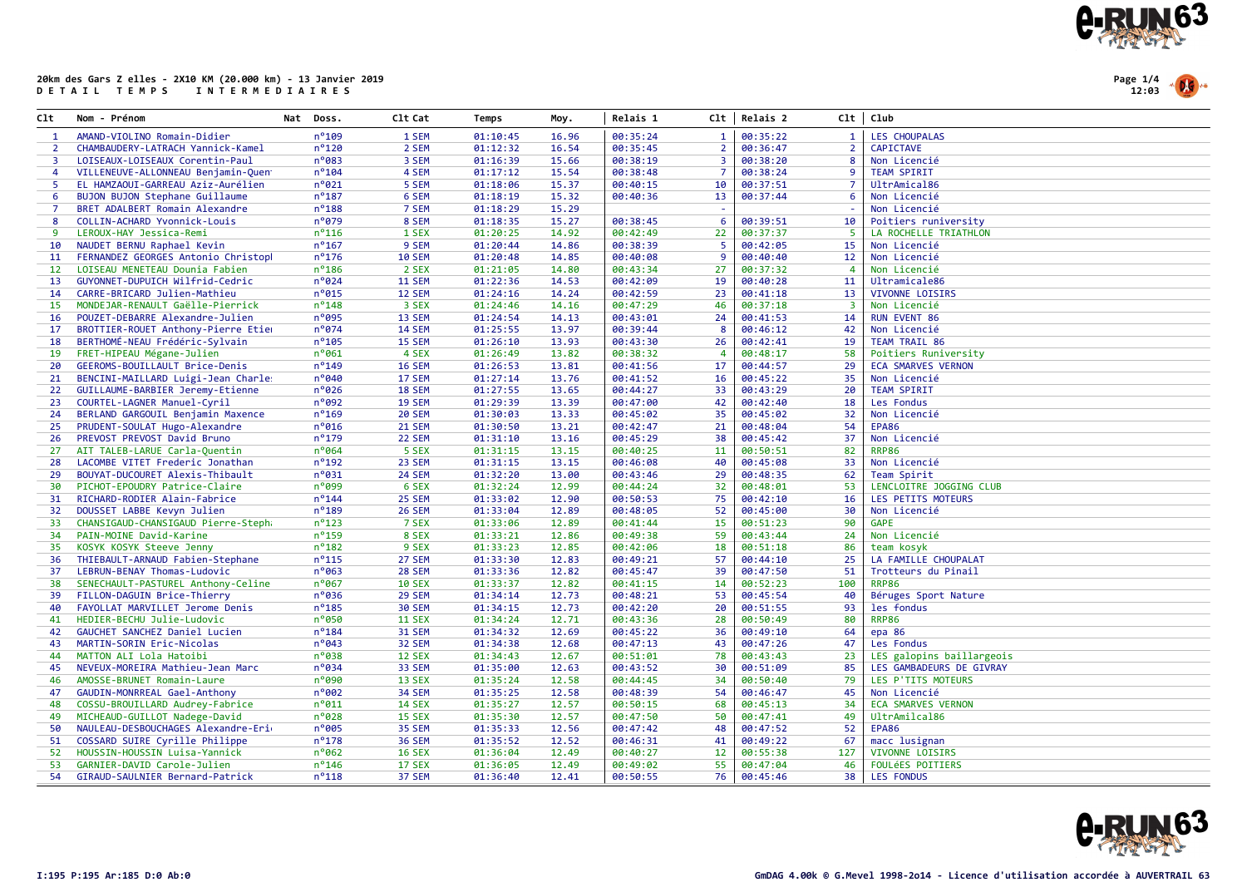

Page 1/4 12:03

| C1t               | Nom - Prénom                        | Nat Doss.       | C1t Cat       | Temps    | Moy.  | Relais 1 |                | Clt   Relais 2 |                         | Clt   Club                |
|-------------------|-------------------------------------|-----------------|---------------|----------|-------|----------|----------------|----------------|-------------------------|---------------------------|
| $\mathbf{1}$      | AMAND-VIOLINO Romain-Didier         | n°109           | 1 SEM         | 01:10:45 | 16.96 | 00:35:24 | $\mathbf{1}$   | 00:35:22       | $\mathbf{1}$            | <b>LES CHOUPALAS</b>      |
| $\overline{2}$    | CHAMBAUDERY-LATRACH Yannick-Kamel   | $n^{\circ}$ 120 | 2 SEM         | 01:12:32 | 16.54 | 00:35:45 | $\overline{2}$ | 00:36:47       | $\overline{2}$          | <b>CAPICTAVE</b>          |
| 3                 | LOISEAUX-LOISEAUX Corentin-Paul     | n°083           | 3 SEM         | 01:16:39 | 15.66 | 00:38:19 | 3              | 00:38:20       | 8                       | Non Licencié              |
| 4                 | VILLENEUVE-ALLONNEAU Benjamin-Quen  | $n^o$ 104       | 4 SEM         | 01:17:12 | 15.54 | 00:38:48 | -7             | 00:38:24       | 9                       | <b>TEAM SPIRIT</b>        |
| -5                | EL HAMZAOUI-GARREAU Aziz-Aurélien   | n°021           | 5 SEM         | 01:18:06 | 15.37 | 00:40:15 | 10             | 00:37:51       | $\overline{7}$          | UltrAmical86              |
| 6                 | BUJON BUJON Stephane Guillaume      | $n^o$ 187       | 6 SEM         | 01:18:19 | 15.32 | 00:40:36 | 13             | 00:37:44       | 6                       | Non Licencié              |
| $\overline{7}$    | BRET ADALBERT Romain Alexandre      | $n^o$ 188       | 7 SEM         | 01:18:29 | 15.29 |          | ÷.             |                |                         | Non Licencié              |
| 8                 | COLLIN-ACHARD Yvonnick-Louis        | n°079           | 8 SEM         | 01:18:35 | 15.27 | 00:38:45 | 6              | 00:39:51       | 10                      | Poitiers runiversity      |
| 9                 | LEROUX-HAY Jessica-Remi             | $n^o$ 116       | 1 SEX         | 01:20:25 | 14.92 | 00:42:49 | 22             | 00:37:37       | 5                       | LA ROCHELLE TRIATHLON     |
| 10                | NAUDET BERNU Raphael Kevin          | $n^o$ 167       | 9 SEM         | 01:20:44 | 14.86 | 00:38:39 | 5              | 00:42:05       | 15                      | Non Licencié              |
| 11                | FERNANDEZ GEORGES Antonio Christopl | $n^o$ 176       | <b>10 SEM</b> | 01:20:48 | 14.85 | 00:40:08 | 9              | 00:40:40       | 12                      | Non Licencié              |
| $12 \overline{ }$ | LOISEAU MENETEAU Dounia Fabien      | $n^o$ 186       | 2 SEX         | 01:21:05 | 14.80 | 00:43:34 | 27             | 00:37:32       | $\overline{4}$          | Non Licencié              |
| 13                | GUYONNET-DUPUICH Wilfrid-Cedric     | $n^{\circ}024$  | 11 SEM        | 01:22:36 | 14.53 | 00:42:09 | 19             | 00:40:28       | 11                      | Ultramicale86             |
| 14                | CARRE-BRICARD Julien-Mathieu        | n°015           | 12 SEM        | 01:24:16 | 14.24 | 00:42:59 | 23             | 00:41:18       | 13                      | VIVONNE LOISIRS           |
| 15                | MONDEJAR-RENAULT Gaëlle-Pierrick    | $n^{\circ}$ 148 | 3 SEX         | 01:24:46 | 14.16 | 00:47:29 | 46             | 00:37:18       | $\overline{\mathbf{3}}$ | Non Licencié              |
| 16                | POUZET-DEBARRE Alexandre-Julien     | $n^o$ 095       | 13 SEM        | 01:24:54 | 14.13 | 00:43:01 | 24             | 00:41:53       | 14                      | <b>RUN EVENT 86</b>       |
| 17                | BROTTIER-ROUET Anthony-Pierre Etier | n°074           | 14 SEM        | 01:25:55 | 13.97 | 00:39:44 | -8             | 00:46:12       | 42                      | Non Licencié              |
| 18                | BERTHOMÉ-NEAU Frédéric-Sylvain      | $n^o$ 105       | 15 SEM        | 01:26:10 | 13.93 | 00:43:30 | 26             | 00:42:41       | 19                      | TEAM TRAIL 86             |
| 19                | FRET-HIPEAU Mégane-Julien           | $n^{\circ}061$  | 4 SEX         | 01:26:49 | 13.82 | 00:38:32 | $\overline{4}$ | 00:48:17       | 58                      | Poitiers Runiversity      |
| 20                | GEEROMS-BOUILLAULT Brice-Denis      | $n^o$ 149       | 16 SEM        | 01:26:53 | 13.81 | 00:41:56 | 17             | 00:44:57       | 29                      | <b>ECA SMARVES VERNON</b> |
| 21                | BENCINI-MAILLARD Luigi-Jean Charle: | n°040           | 17 SEM        | 01:27:14 | 13.76 | 00:41:52 | 16             | 00:45:22       | 35                      | Non Licencié              |
| 22                | GUILLAUME-BARBIER Jeremy-Etienne    | n°026           | 18 SEM        | 01:27:55 | 13.65 | 00:44:27 | 33             | 00:43:29       | 20                      | <b>TEAM SPIRIT</b>        |
| 23                | COURTEL-LAGNER Manuel-Cyril         | n°092           | 19 SEM        | 01:29:39 | 13.39 | 00:47:00 | 42             | 00:42:40       | 18                      | Les Fondus                |
| 24                | BERLAND GARGOUIL Benjamin Maxence   | $n^o$ 169       | <b>20 SEM</b> | 01:30:03 | 13.33 | 00:45:02 | 35             | 00:45:02       | 32                      | Non Licencié              |
| 25                | PRUDENT-SOULAT Hugo-Alexandre       | n°016           | 21 SEM        | 01:30:50 | 13.21 | 00:42:47 | 21             | 00:48:04       | 54                      | <b>EPA86</b>              |
| 26                | PREVOST PREVOST David Bruno         | $n^o$ 179       | 22 SEM        | 01:31:10 | 13.16 | 00:45:29 | 38             | 00:45:42       | 37                      | Non Licencié              |
| 27                | AIT TALEB-LARUE Carla-Quentin       | $n^{\circ}064$  | 5 SEX         | 01:31:15 | 13.15 | 00:40:25 | 11             | 00:50:51       | 82                      | <b>RRP86</b>              |
| 28                | LACOMBE VITET Frederic Jonathan     | n°192           | 23 SEM        | 01:31:15 | 13.15 | 00:46:08 | 40             | 00:45:08       | 33                      | Non Licencié              |
| 29                | BOUYAT-DUCOURET Alexis-Thibault     | $n^{\circ}$ 031 | <b>24 SEM</b> | 01:32:20 | 13.00 | 00:43:46 | 29             | 00:48:35       | 62                      | Team Spirit               |
| 30                | PICHOT-EPOUDRY Patrice-Claire       | nº099           | 6 SEX         | 01:32:24 | 12.99 | 00:44:24 | 32             | 00:48:01       | 53                      | LENCLOITRE JOGGING CLUB   |
| 31                | RICHARD-RODIER Alain-Fabrice        | $n^o$ 144       | 25 SEM        | 01:33:02 | 12.90 | 00:50:53 | 75             | 00:42:10       | 16                      | LES PETITS MOTEURS        |
| 32                | DOUSSET LABBE Kevyn Julien          | $n^o$ 189       | 26 SEM        | 01:33:04 | 12.89 | 00:48:05 | 52             | 00:45:00       | 30                      | Non Licencié              |
| 33                | CHANSIGAUD-CHANSIGAUD Pierre-Stepha | $n^o$ 123       | 7 SEX         | 01:33:06 | 12.89 | 00:41:44 | 15             | 00:51:23       | 90                      | <b>GAPE</b>               |
| 34                | PAIN-MOINE David-Karine             | n°159           | 8 SEX         | 01:33:21 | 12.86 | 00:49:38 | 59             | 00:43:44       | 24                      | Non Licencié              |
| 35                | KOSYK KOSYK Steeve Jenny            | $n^o$ 182       | 9 SEX         | 01:33:23 | 12.85 | 00:42:06 | 18             | 00:51:18       | 86                      | team kosyk                |
| 36                | THIEBAULT-ARNAUD Fabien-Stephane    | $n^o$ 115       | 27 SEM        | 01:33:30 | 12.83 | 00:49:21 | 57             | 00:44:10       | 25                      | LA FAMILLE CHOUPALAT      |
| 37                | LEBRUN-BENAY Thomas-Ludovic         | n°063           | 28 SEM        | 01:33:36 | 12.82 | 00:45:47 | 39             | 00:47:50       | 51                      | Trotteurs du Pinail       |
| 38                | SENECHAULT-PASTUREL Anthony-Celine  | $n^{\circ}$ 067 | <b>10 SEX</b> | 01:33:37 | 12.82 | 00:41:15 | 14             | 00:52:23       | 100                     | <b>RRP86</b>              |
| 39                | FILLON-DAGUIN Brice-Thierry         | n°036           | 29 SEM        | 01:34:14 | 12.73 | 00:48:21 | 53             | 00:45:54       | 40                      | Béruges Sport Nature      |
| 40                | FAYOLLAT MARVILLET Jerome Denis     | $n^o$ 185       | <b>30 SEM</b> | 01:34:15 | 12.73 | 00:42:20 | 20             | 00:51:55       | 93                      | les fondus                |
| 41                | HEDIER-BECHU Julie-Ludovic          | n°050           | <b>11 SEX</b> | 01:34:24 | 12.71 | 00:43:36 | 28             | 00:50:49       | 80                      | <b>RRP86</b>              |
| 42                | GAUCHET SANCHEZ Daniel Lucien       | $n^o$ 184       | 31 SEM        | 01:34:32 | 12.69 | 00:45:22 | 36             | 00:49:10       | 64                      | epa 86                    |
| 43                | MARTIN-SORIN Eric-Nicolas           | $n^{\circ}043$  | 32 SEM        | 01:34:38 | 12.68 | 00:47:13 | 43             | 00:47:26       | 47                      | Les Fondus                |
| 44                | MATTON ALI Lola Hatoibi             | n°038           | <b>12 SEX</b> | 01:34:43 | 12.67 | 00:51:01 | 78             | 00:43:43       | 23                      | LES galopins baillargeois |
| 45                | NEVEUX-MOREIRA Mathieu-Jean Marc    | $n^{\circ}$ 034 | 33 SEM        | 01:35:00 | 12.63 | 00:43:52 | 30             | 00:51:09       | 85                      | LES GAMBADEURS DE GIVRAY  |
| 46                | AMOSSE-BRUNET Romain-Laure          | n°090           | 13 SEX        | 01:35:24 | 12.58 | 00:44:45 | 34             | 00:50:40       | 79                      | LES P'TITS MOTEURS        |
| 47                | GAUDIN-MONRREAL Gael-Anthony        | n°002           | 34 SEM        | 01:35:25 | 12.58 | 00:48:39 | 54             | 00:46:47       | 45                      | Non Licencié              |
| 48                | COSSU-BROUILLARD Audrey-Fabrice     | $n^{\circ}011$  | <b>14 SEX</b> | 01:35:27 | 12.57 | 00:50:15 | 68             | 00:45:13       | 34                      | <b>ECA SMARVES VERNON</b> |
| 49                | MICHEAUD-GUILLOT Nadege-David       | n°028           | 15 SEX        | 01:35:30 | 12.57 | 00:47:50 | 50             | 00:47:41       | 49                      | UltrAmilcal86             |
| 50                | NAULEAU-DESBOUCHAGES Alexandre-Eri  | n°005           | <b>35 SEM</b> | 01:35:33 | 12.56 | 00:47:42 | 48             | 00:47:52       | 52                      | EPA86                     |
| 51                | COSSARD SUIRE Cyrille Philippe      | $n^o$ 178       | <b>36 SEM</b> | 01:35:52 | 12.52 | 00:46:31 | 41             | 00:49:22       | 67                      | macc lusignan             |
| 52                | HOUSSIN-HOUSSIN Luisa-Yannick       | $n^o$ 062       | <b>16 SEX</b> | 01:36:04 | 12.49 | 00:40:27 | 12             | 00:55:38       | 127                     | VIVONNE LOISIRS           |
| 53                | GARNIER-DAVID Carole-Julien         | $n^{\circ}$ 146 | <b>17 SEX</b> | 01:36:05 | 12.49 | 00:49:02 | 55             | 00:47:04       | 46                      | <b>FOULÉES POITIERS</b>   |
| 54                | GIRAUD-SAULNIER Bernard-Patrick     | $n^o$ 118       | 37 SEM        | 01:36:40 | 12.41 | 00:50:55 | 76             | 00:45:46       | 38                      | <b>LES FONDUS</b>         |

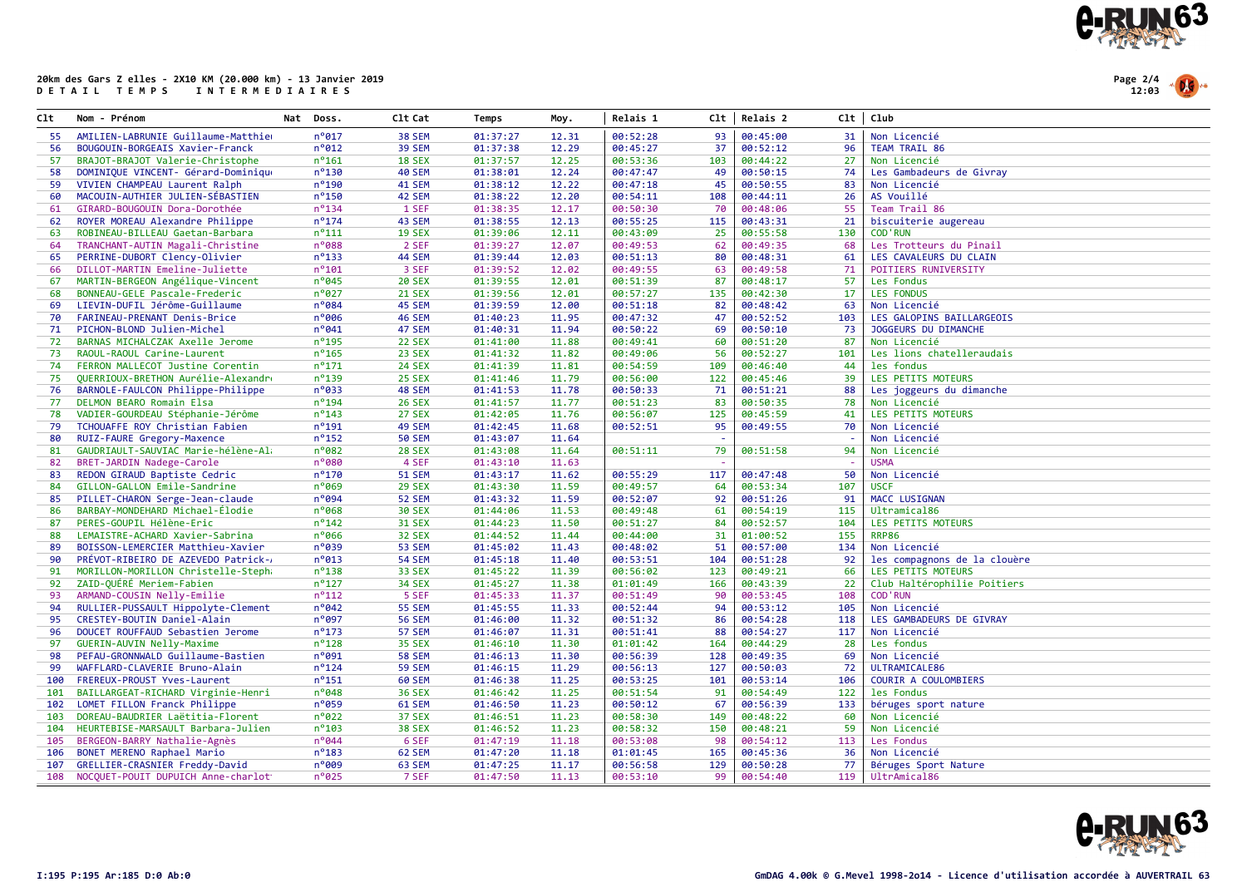

Page 2/4 12:03

| Clt | Nom - Prénom                        | Nat Doss.       | C1t Cat       | Temps    | Moy.  | Relais 1 | Clt | Relais 2 | Clt | Club                         |
|-----|-------------------------------------|-----------------|---------------|----------|-------|----------|-----|----------|-----|------------------------------|
| 55  | AMILIEN-LABRUNIE Guillaume-Matthier | $n^o017$        | 38 SEM        | 01:37:27 | 12.31 | 00:52:28 | 93  | 00:45:00 | 31  | Non Licencié                 |
| 56  | BOUGOUIN-BORGEAIS Xavier-Franck     | $n^{\circ}$ 012 | <b>39 SEM</b> | 01:37:38 | 12.29 | 00:45:27 | 37  | 00:52:12 | 96  | TEAM TRAIL 86                |
| 57  | BRAJOT-BRAJOT Valerie-Christophe    | $n^o$ 161       | <b>18 SEX</b> | 01:37:57 | 12.25 | 00:53:36 | 103 | 00:44:22 | 27  | Non Licencié                 |
| 58  | DOMINIQUE VINCENT- Gérard-Dominique | $n^o$ 130       | <b>40 SEM</b> | 01:38:01 | 12.24 | 00:47:47 | 49  | 00:50:15 | 74  | Les Gambadeurs de Givray     |
| 59  | VIVIEN CHAMPEAU Laurent Ralph       | $n^o$ 190       | 41 SEM        | 01:38:12 | 12.22 | 00:47:18 | 45  | 00:50:55 | 83  | Non Licencié                 |
| 60  | MACOUIN-AUTHIER JULIEN-SÉBASTIEN    | $n^o$ 150       | 42 SEM        | 01:38:22 | 12.20 | 00:54:11 | 108 | 00:44:11 | 26  | AS Vouillé                   |
| 61  | GIRARD-BOUGOUIN Dora-Dorothée       | $n^o$ 134       | 1 SEF         | 01:38:35 | 12.17 | 00:50:30 | 70  | 00:48:06 | 55  | Team Trail 86                |
| 62  | ROYER MOREAU Alexandre Philippe     | $n^{\circ}$ 174 | 43 SEM        | 01:38:55 | 12.13 | 00:55:25 | 115 | 00:43:31 | 21  | biscuiterie augereau         |
| 63  | ROBINEAU-BILLEAU Gaetan-Barbara     | $n^{\circ}111$  | <b>19 SEX</b> | 01:39:06 | 12.11 | 00:43:09 | 25  | 00:55:58 | 130 | <b>COD'RUN</b>               |
| 64  | TRANCHANT-AUTIN Magali-Christine    | n°088           | 2 SEF         | 01:39:27 | 12.07 | 00:49:53 | 62  | 00:49:35 | 68  | Les Trotteurs du Pinail      |
| 65  | PERRINE-DUBORT Clency-Olivier       | $n^{\circ}$ 133 | 44 SEM        | 01:39:44 | 12.03 | 00:51:13 | 80  | 00:48:31 | 61  | LES CAVALEURS DU CLAIN       |
| 66  | DILLOT-MARTIN Emeline-Juliette      | $n^{\circ}101$  | 3 SEF         | 01:39:52 | 12.02 | 00:49:55 | 63  | 00:49:58 | 71  | POITIERS RUNIVERSITY         |
| 67  | MARTIN-BERGEON Angélique-Vincent    | $n^{\circ}045$  | <b>20 SEX</b> | 01:39:55 | 12.01 | 00:51:39 | 87  | 00:48:17 | 57  | Les Fondus                   |
| 68  | BONNEAU-GELE Pascale-Frederic       | $n^{\circ}027$  | <b>21 SEX</b> | 01:39:56 | 12.01 | 00:57:27 | 135 | 00:42:30 | 17  | <b>LES FONDUS</b>            |
| 69  | LIEVIN-DUFIL Jérôme-Guillaume       | $n^o$ 084       | 45 SEM        | 01:39:59 | 12.00 | 00:51:18 | 82  | 00:48:42 | 63  | Non Licencié                 |
| 70  | FARINEAU-PRENANT Denis-Brice        | $n^{\circ}$ 006 | 46 SEM        | 01:40:23 | 11.95 | 00:47:32 | 47  | 00:52:52 | 103 | LES GALOPINS BAILLARGEOIS    |
| 71  | PICHON-BLOND Julien-Michel          | $n^{\circ}041$  | 47 SEM        | 01:40:31 | 11.94 | 00:50:22 | 69  | 00:50:10 | 73  | JOGGEURS DU DIMANCHE         |
| 72  | BARNAS MICHALCZAK Axelle Jerome     | $n^o$ 195       | <b>22 SEX</b> | 01:41:00 | 11.88 | 00:49:41 | 60  | 00:51:20 | 87  | Non Licencié                 |
| 73  | RAOUL-RAOUL Carine-Laurent          | $n^{\circ}$ 165 | 23 SEX        | 01:41:32 | 11.82 | 00:49:06 | 56  | 00:52:27 | 101 | Les lions chatelleraudais    |
| 74  | FERRON MALLECOT Justine Corentin    | $n^o$ 171       | <b>24 SEX</b> | 01:41:39 | 11.81 | 00:54:59 | 109 | 00:46:40 | 44  | les fondus                   |
| 75  | QUERRIOUX-BRETHON Aurélie-Alexandr  | $n^o$ 139       | <b>25 SEX</b> | 01:41:46 | 11.79 | 00:56:00 | 122 | 00:45:46 | 39  | LES PETITS MOTEURS           |
| 76  | BARNOLE-FAULCON Philippe-Philippe   | $n^{\circ}033$  | 48 SEM        | 01:41:53 | 11.78 | 00:50:33 | 71  | 00:51:21 | 88  | Les joggeurs du dimanche     |
| 77  | DELMON BEARO Romain Elsa            | $n^o$ 194       | <b>26 SEX</b> | 01:41:57 | 11.77 | 00:51:23 | 83  | 00:50:35 | 78  | Non Licencié                 |
| 78  | VADIER-GOURDEAU Stéphanie-Jérôme    | $n^{\circ}$ 143 | 27 SEX        | 01:42:05 | 11.76 | 00:56:07 | 125 | 00:45:59 | 41  | LES PETITS MOTEURS           |
| 79  | TCHOUAFFE ROY Christian Fabien      | $n^o$ 191       | 49 SEM        | 01:42:45 | 11.68 | 00:52:51 | 95  | 00:49:55 | 70  | Non Licencié                 |
| 80  | RUIZ-FAURE Gregory-Maxence          | $n^o$ 152       | <b>50 SEM</b> | 01:43:07 | 11.64 |          |     |          |     | Non Licencié                 |
| 81  | GAUDRIAULT-SAUVIAC Marie-hélène-Al; | $n^o$ 082       | <b>28 SEX</b> | 01:43:08 | 11.64 | 00:51:11 | 79  | 00:51:58 | 94  | Non Licencié                 |
| 82  | BRET-JARDIN Nadege-Carole           | n°080           | 4 SEF         | 01:43:10 | 11.63 |          |     |          |     | <b>USMA</b>                  |
| 83  | REDON GIRAUD Baptiste Cedric        | $n^o$ 170       | <b>51 SEM</b> | 01:43:17 | 11.62 | 00:55:29 | 117 | 00:47:48 | 50  | Non Licencié                 |
| 84  | GILLON-GALLON Emile-Sandrine        | $n^o$ 069       | <b>29 SEX</b> | 01:43:30 | 11.59 | 00:49:57 | 64  | 00:53:34 | 107 | <b>USCF</b>                  |
| 85  | PILLET-CHARON Serge-Jean-claude     | $n^o$ 094       | <b>52 SEM</b> | 01:43:32 | 11.59 | 00:52:07 | 92  | 00:51:26 | 91  | MACC LUSIGNAN                |
| 86  | BARBAY-MONDEHARD Michael-Élodie     | $n^{\circ}$ 068 | <b>30 SEX</b> | 01:44:06 | 11.53 | 00:49:48 | 61  | 00:54:19 | 115 | Ultramical86                 |
| 87  | PERES-GOUPIL Hélène-Eric            | $n^{\circ}$ 142 | <b>31 SEX</b> | 01:44:23 | 11.50 | 00:51:27 | 84  | 00:52:57 | 104 | LES PETITS MOTEURS           |
| 88  | LEMAISTRE-ACHARD Xavier-Sabrina     | $n^{\circ}$ 066 | <b>32 SEX</b> | 01:44:52 | 11.44 | 00:44:00 | 31  | 01:00:52 | 155 | RRP86                        |
| 89  | BOISSON-LEMERCIER Matthieu-Xavier   | $n^{\circ}039$  | <b>53 SEM</b> | 01:45:02 | 11.43 | 00:48:02 | 51  | 00:57:00 | 134 | Non Licencié                 |
| 90  | PRÉVOT-RIBEIRO DE AZEVEDO Patrick-  | $n^{\circ}$ 013 | <b>54 SEM</b> | 01:45:18 | 11.40 | 00:53:51 | 104 | 00:51:28 | 92  | les compagnons de la clouère |
| 91  | MORILLON-MORILLON Christelle-Stepha | $n^o$ 138       | <b>33 SEX</b> | 01:45:22 | 11.39 | 00:56:02 | 123 | 00:49:21 | 66  | LES PETITS MOTEURS           |
| 92  | ZAID-QUÉRÉ Meriem-Fabien            | $n^o$ 127       | <b>34 SEX</b> | 01:45:27 | 11.38 | 01:01:49 | 166 | 00:43:39 | 22  | Club Haltérophilie Poitiers  |
| 93  | ARMAND-COUSIN Nelly-Emilie          | $n^{\circ}112$  | 5 SEF         | 01:45:33 | 11.37 | 00:51:49 | 90  | 00:53:45 | 108 | <b>COD'RUN</b>               |
| 94  | RULLIER-PUSSAULT Hippolyte-Clement  | $n^{\circ}042$  | <b>55 SEM</b> | 01:45:55 | 11.33 | 00:52:44 | 94  | 00:53:12 | 105 | Non Licencié                 |
| 95  | CRESTEY-BOUTIN Daniel-Alain         | n°097           | <b>56 SEM</b> | 01:46:00 | 11.32 | 00:51:32 | 86  | 00:54:28 | 118 | LES GAMBADEURS DE GIVRAY     |
| 96  | DOUCET ROUFFAUD Sebastien Jerome    | $n^o$ 173       | 57 SEM        | 01:46:07 | 11.31 | 00:51:41 | 88  | 00:54:27 | 117 | Non Licencié                 |
| 97  | GUERIN-AUVIN Nelly-Maxime           | $n^o$ 128       | <b>35 SEX</b> | 01:46:10 | 11.30 | 01:01:42 | 164 | 00:44:29 | 28  | Les fondus                   |
| 98  | PEFAU-GRONNWALD Guillaume-Bastien   | $n^o$ 091       | <b>58 SEM</b> | 01:46:13 | 11.30 | 00:56:39 | 128 | 00:49:35 | 69  | Non Licencié                 |
| 99  | WAFFLARD-CLAVERIE Bruno-Alain       | $n^{\circ}$ 124 | <b>59 SEM</b> | 01:46:15 | 11.29 | 00:56:13 | 127 | 00:50:03 | 72  | ULTRAMICALE86                |
| 100 | FREREUX-PROUST Yves-Laurent         | $n^o$ 151       | <b>60 SEM</b> | 01:46:38 | 11.25 | 00:53:25 | 101 | 00:53:14 | 106 | COURIR A COULOMBIERS         |
| 101 | BAILLARGEAT-RICHARD Virginie-Henri  | $n^{\circ}048$  | <b>36 SEX</b> | 01:46:42 | 11.25 | 00:51:54 | 91  | 00:54:49 | 122 | les Fondus                   |
| 102 | LOMET FILLON Franck Philippe        | $n^{\circ}059$  | 61 SEM        | 01:46:50 | 11.23 | 00:50:12 | 67  | 00:56:39 | 133 | béruges sport nature         |
| 103 | DOREAU-BAUDRIER Laëtitia-Florent    | $n^{\circ}022$  | <b>37 SEX</b> | 01:46:51 | 11.23 | 00:58:30 | 149 | 00:48:22 | 60  | Non Licencié                 |
| 104 | HEURTEBISE-MARSAULT Barbara-Julien  | $n^o$ 103       | <b>38 SEX</b> | 01:46:52 | 11.23 | 00:58:32 | 150 | 00:48:21 | 59  | Non Licencié                 |
| 105 | BERGEON-BARRY Nathalie-Agnès        | $n^{\circ}044$  | 6 SEF         | 01:47:19 | 11.18 | 00:53:08 | 98  | 00:54:12 | 113 | Les Fondus                   |
| 106 | BONET MERENO Raphael Mario          | $n^o$ 183       | 62 SEM        | 01:47:20 | 11.18 | 01:01:45 | 165 | 00:45:36 | 36  | Non Licencié                 |
| 107 | GRELLIER-CRASNIER Freddy-David      | $n^{\circ}009$  | 63 SEM        | 01:47:25 | 11.17 | 00:56:58 | 129 | 00:50:28 | 77  | Béruges Sport Nature         |
| 108 | NOCOUET-POUIT DUPUICH Anne-charlot  | n°025           | 7 SEF         | 01:47:50 | 11.13 | 00:53:10 | 99  | 00:54:40 | 119 | UltrAmical86                 |
|     |                                     |                 |               |          |       |          |     |          |     |                              |

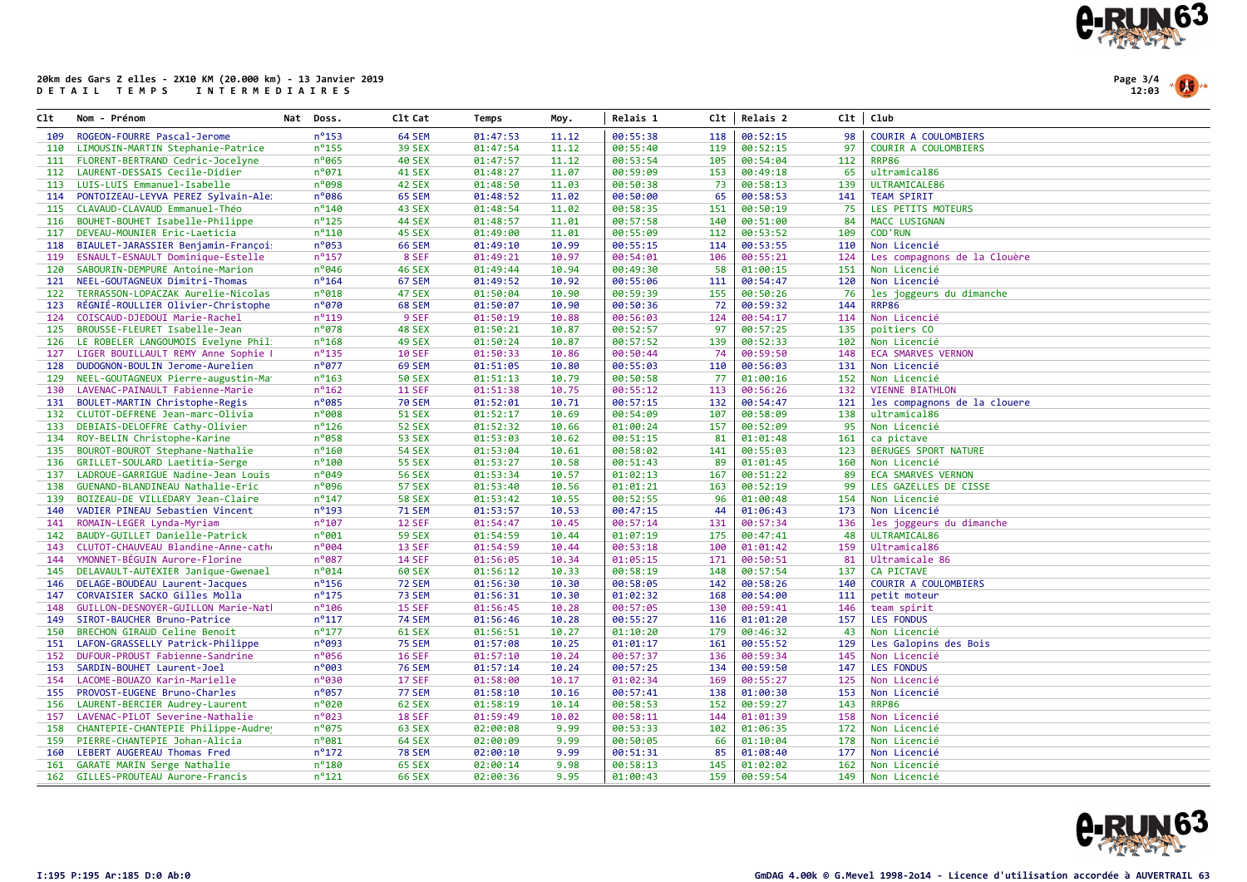



| Clt | Nom - Prénom                        | Nat Doss.       | C1t Cat       | Temps    | Moy.  | Relais 1 | Clt | Relais 2 |     | Clt   Club                   |
|-----|-------------------------------------|-----------------|---------------|----------|-------|----------|-----|----------|-----|------------------------------|
| 109 | ROGEON-FOURRE Pascal-Jerome         | $n^o$ 153       | 64 SEM        | 01:47:53 | 11.12 | 00:55:38 | 118 | 00:52:15 | 98  | <b>COURIR A COULOMBIERS</b>  |
| 110 | LIMOUSIN-MARTIN Stephanie-Patrice   | $n^o$ 155       | <b>39 SEX</b> | 01:47:54 | 11.12 | 00:55:40 | 119 | 00:52:15 | 97  | COURIR A COULOMBIERS         |
| 111 | FLORENT-BERTRAND Cedric-Jocelyne    | $n^{\circ}$ 065 | <b>40 SEX</b> | 01:47:57 | 11.12 | 00:53:54 | 105 | 00:54:04 | 112 | <b>RRP86</b>                 |
| 112 | LAURENT-DESSAIS Cecile-Didier       | $n^{\circ}071$  | <b>41 SEX</b> | 01:48:27 | 11.07 | 00:59:09 | 153 | 00:49:18 | 65  | ultramical86                 |
| 113 | LUIS-LUIS Emmanuel-Isabelle         | n°098           | 42 SEX        | 01:48:50 | 11.03 | 00:50:38 | 73  | 00:58:13 | 139 | ULTRAMICALE86                |
| 114 | PONTOIZEAU-LEYVA PEREZ Sylvain-Ale: | n°086           | 65 SEM        | 01:48:52 | 11.02 | 00:50:00 | 65  | 00:58:53 | 141 | <b>TEAM SPIRIT</b>           |
| 115 | CLAVAUD-CLAVAUD Emmanuel-Théo       | $n^{\circ}$ 140 | 43 SEX        | 01:48:54 | 11.02 | 00:58:35 | 151 | 00:50:19 | 75  | LES PETITS MOTEURS           |
| 116 | BOUHET-BOUHET Isabelle-Philippe     | $n^o$ 125       | <b>44 SEX</b> | 01:48:57 | 11.01 | 00:57:58 | 140 | 00:51:00 | 84  | MACC LUSIGNAN                |
| 117 | DEVEAU-MOUNIER Eric-Laeticia        | $n^{\circ}110$  | 45 SEX        | 01:49:00 | 11.01 | 00:55:09 | 112 | 00:53:52 | 109 | <b>COD'RUN</b>               |
| 118 | BIAULET-JARASSIER Benjamin-Françoi  | n°053           | <b>66 SEM</b> | 01:49:10 | 10.99 | 00:55:15 | 114 | 00:53:55 | 110 | Non Licencié                 |
| 119 | ESNAULT-ESNAULT Dominique-Estelle   | $n^{\circ}$ 157 | 8 SEF         | 01:49:21 | 10.97 | 00:54:01 | 106 | 00:55:21 | 124 | Les compagnons de la Clouère |
| 120 | SABOURIN-DEMPURE Antoine-Marion     | $n^{\circ}046$  | <b>46 SEX</b> | 01:49:44 | 10.94 | 00:49:30 | 58  | 01:00:15 | 151 | Non Licencié                 |
| 121 | NEEL-GOUTAGNEUX Dimitri-Thomas      | $n^{\circ}$ 164 | 67 SEM        | 01:49:52 | 10.92 | 00:55:06 | 111 | 00:54:47 | 120 | Non Licencié                 |
| 122 | TERRASSON-LOPACZAK Aurelie-Nicolas  | $n^{\circ}$ 018 | <b>47 SEX</b> | 01:50:04 | 10.90 | 00:59:39 | 155 | 00:50:26 | 76  | les joggeurs du dimanche     |
| 123 | RÉGNIÉ-ROULLIER Olivier-Christophe  | n°070           | 68 SEM        | 01:50:07 | 10.90 | 00:50:36 | 72  | 00:59:32 | 144 | <b>RRP86</b>                 |
| 124 | COISCAUD-DJEDOUI Marie-Rachel       | $n^{\circ}$ 119 | 9 SEF         | 01:50:19 | 10.88 | 00:56:03 | 124 | 00:54:17 | 114 | Non Licencié                 |
| 125 | BROUSSE-FLEURET Isabelle-Jean       | $n^{\circ}078$  | <b>48 SEX</b> | 01:50:21 | 10.87 | 00:52:57 | 97  | 00:57:25 | 135 | poitiers CO                  |
| 126 | LE ROBELER LANGOUMOIS Evelyne Phil: | $n^o$ 168       | <b>49 SEX</b> | 01:50:24 | 10.87 | 00:57:52 | 139 | 00:52:33 | 102 | Non Licencié                 |
| 127 | LIGER BOUILLAULT REMY Anne Sophie I | $n^o$ 135       | <b>10 SEF</b> | 01:50:33 | 10.86 | 00:50:44 | 74  | 00:59:50 | 148 | <b>ECA SMARVES VERNON</b>    |
| 128 | DUDOGNON-BOULIN Jerome-Aurelien     | $n^{\circ}$ 077 | 69 SEM        | 01:51:05 | 10.80 | 00:55:03 | 110 | 00:56:03 | 131 | Non Licencié                 |
| 129 | NEEL-GOUTAGNEUX Pierre-augustin-Ma  | $n^o$ 163       | <b>50 SEX</b> | 01:51:13 | 10.79 | 00:50:58 | 77  | 01:00:16 | 152 | Non Licencié                 |
| 130 | LAVENAC-PAINAULT Fabienne-Marie     | $n^o$ 162       | <b>11 SEF</b> | 01:51:38 | 10.75 | 00:55:12 | 113 | 00:56:26 | 132 | <b>VIENNE BIATHLON</b>       |
| 131 | BOULET-MARTIN Christophe-Regis      | $n^{\circ}085$  | <b>70 SEM</b> | 01:52:01 | 10.71 | 00:57:15 | 132 | 00:54:47 | 121 | les compagnons de la clouere |
| 132 | CLUTOT-DEFRENE Jean-marc-Olivia     | n°008           | <b>51 SEX</b> | 01:52:17 | 10.69 | 00:54:09 | 107 | 00:58:09 | 138 | ultramical86                 |
| 133 | DEBIAIS-DELOFFRE Cathy-Olivier      | $n^o$ 126       | <b>52 SEX</b> | 01:52:32 | 10.66 | 01:00:24 | 157 | 00:52:09 | 95  | Non Licencié                 |
|     | 134 ROY-BELIN Christophe-Karine     | $n^o$ 058       | <b>53 SEX</b> | 01:53:03 | 10.62 | 00:51:15 | 81  | 01:01:48 | 161 | ca pictave                   |
| 135 | BOUROT-BOUROT Stephane-Nathalie     | $n^{\circ}$ 160 | <b>54 SEX</b> | 01:53:04 | 10.61 | 00:58:02 | 141 | 00:55:03 | 123 | <b>BERUGES SPORT NATURE</b>  |
| 136 | GRILLET-SOULARD Laetitia-Serge      | $n^{\circ}$ 100 | <b>55 SEX</b> | 01:53:27 | 10.58 | 00:51:43 | 89  | 01:01:45 | 160 | Non Licencié                 |
| 137 | LADROUE-GARRIGUE Nadine-Jean Louis  | $n^o049$        | <b>56 SEX</b> | 01:53:34 | 10.57 | 01:02:13 | 167 | 00:51:22 | 89  | <b>ECA SMARVES VERNON</b>    |
| 138 | GUENAND-BLANDINEAU Nathalie-Eric    | n°096           | <b>57 SEX</b> | 01:53:40 | 10.56 | 01:01:21 | 163 | 00:52:19 | 99  | LES GAZELLES DE CISSE        |
| 139 | BOIZEAU-DE VILLEDARY Jean-Claire    | $n^{\circ}$ 147 | <b>58 SEX</b> | 01:53:42 | 10.55 | 00:52:55 | 96  | 01:00:48 | 154 | Non Licencié                 |
| 140 | VADIER PINEAU Sebastien Vincent     | $n^o$ 193       | <b>71 SEM</b> | 01:53:57 | 10.53 | 00:47:15 | 44  | 01:06:43 | 173 | Non Licencié                 |
| 141 | ROMAIN-LEGER Lynda-Myriam           | $n^{\circ}$ 107 | <b>12 SEF</b> | 01:54:47 | 10.45 | 00:57:14 | 131 | 00:57:34 | 136 | les joggeurs du dimanche     |
| 142 | BAUDY-GUILLET Danielle-Patrick      | n°001           | <b>59 SEX</b> | 01:54:59 | 10.44 | 01:07:19 | 175 | 00:47:41 | 48  | ULTRAMICAL86                 |
| 143 | CLUTOT-CHAUVEAU Blandine-Anne-cath  | n°004           | 13 SEF        | 01:54:59 | 10.44 | 00:53:18 | 100 | 01:01:42 | 159 | Ultramical86                 |
| 144 | YMONNET-BEGUIN Aurore-Florine       | n°087           | <b>14 SEF</b> | 01:56:05 | 10.34 | 01:05:15 | 171 | 00:50:51 | 81  | Ultramicale 86               |
| 145 | DELAVAULT-AUTEXIER Janique-Gwenael  | n°014           | <b>60 SEX</b> | 01:56:12 | 10.33 | 00:58:19 | 148 | 00:57:54 | 137 | <b>CA PICTAVE</b>            |
| 146 | DELAGE-BOUDEAU Laurent-Jacques      | $n^o$ 156       | <b>72 SEM</b> | 01:56:30 | 10.30 | 00:58:05 | 142 | 00:58:26 | 140 | COURIR A COULOMBIERS         |
| 147 | CORVAISIER SACKO Gilles Molla       | $n^o$ 175       | <b>73 SEM</b> | 01:56:31 | 10.30 | 01:02:32 | 168 | 00:54:00 | 111 | petit moteur                 |
| 148 | GUILLON-DESNOYER-GUILLON Marie-Natl | $n^o$ 106       | 15 SEF        | 01:56:45 | 10.28 | 00:57:05 | 130 | 00:59:41 | 146 | team spirit                  |
| 149 | SIROT-BAUCHER Bruno-Patrice         | $n^{\circ}117$  | <b>74 SEM</b> | 01:56:46 | 10.28 | 00:55:27 | 116 | 01:01:20 | 157 | <b>LES FONDUS</b>            |
| 150 | BRECHON GIRAUD Celine Benoit        | $n^{\circ}$ 177 | <b>61 SEX</b> | 01:56:51 | 10.27 | 01:10:20 | 179 | 00:46:32 | 43  | Non Licencié                 |
| 151 | LAFON-GRASSELLY Patrick-Philippe    | $n^o$ 093       | <b>75 SEM</b> | 01:57:08 | 10.25 | 01:01:17 | 161 | 00:55:52 | 129 | Les Galopins des Bois        |
| 152 | DUFOUR-PROUST Fabienne-Sandrine     | $n^o$ 056       | <b>16 SEF</b> | 01:57:10 | 10.24 | 00:57:37 | 136 | 00:59:34 | 145 | Non Licencié                 |
| 153 | SARDIN-BOUHET Laurent-Joel          | n°003           | <b>76 SEM</b> | 01:57:14 | 10.24 | 00:57:25 | 134 | 00:59:50 | 147 | LES FONDUS                   |
| 154 | LACOME-BOUAZO Karin-Marielle        | n°030           | <b>17 SEF</b> | 01:58:00 | 10.17 | 01:02:34 | 169 | 00:55:27 | 125 | Non Licencié                 |
| 155 | PROVOST-EUGENE Bruno-Charles        | $n^o$ 057       | <b>77 SEM</b> | 01:58:10 | 10.16 | 00:57:41 | 138 | 01:00:30 | 153 | Non Licencié                 |
| 156 | LAURENT-BERCIER Audrey-Laurent      | n°020           | 62 SEX        | 01:58:19 | 10.14 | 00:58:53 | 152 | 00:59:27 | 143 | <b>RRP86</b>                 |
| 157 | LAVENAC-PILOT Severine-Nathalie     | n°023           | <b>18 SEF</b> | 01:59:49 | 10.02 | 00:58:11 | 144 | 01:01:39 | 158 | Non Licencié                 |
| 158 | CHANTEPIE-CHANTEPIE Philippe-Audrey | $n^o$ 075       | 63 SEX        | 02:00:08 | 9.99  | 00:53:33 | 102 | 01:06:35 | 172 | Non Licencié                 |
| 159 | PIERRE-CHANTEPIE Johan-Alicia       | $n^o$ 081       | <b>64 SEX</b> | 02:00:09 | 9.99  | 00:50:05 | 66  | 01:10:04 | 178 | Non Licencié                 |
| 160 | LEBERT AUGEREAU Thomas Fred         | $n^{\circ}$ 172 | <b>78 SEM</b> | 02:00:10 | 9.99  | 00:51:31 | 85  | 01:08:40 | 177 | Non Licencié                 |
| 161 | GARATE MARIN Serge Nathalie         | $n^{\circ}$ 180 | <b>65 SEX</b> | 02:00:14 | 9.98  | 00:58:13 | 145 | 01:02:02 | 162 | Non Licencié                 |
| 162 | GILLES-PROUTEAU Aurore-Francis      | $n^{\circ}$ 121 | <b>66 SEX</b> | 02:00:36 | 9.95  | 01:00:43 | 159 | 00:59:54 | 149 | Non Licencié                 |